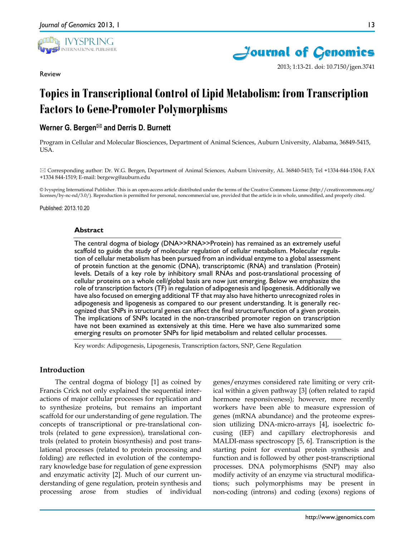

Review



2013; 1:13-21. doi: 10.7150/jgen.3741

# **Topics in Transcriptional Control of Lipid Metabolism: from Transcription Factors to Gene-Promoter Polymorphisms**

# **Werner G. Bergen<sup>⊠</sup> and Derris D. Burnett**

Program in Cellular and Molecular Biosciences, Department of Animal Sciences, Auburn University, Alabama, 36849-5415, USA.

 Corresponding author: Dr. W.G. Bergen, Department of Animal Sciences, Auburn University, AL 36840-5415; Tel +1334-844-1504; FAX +1334 844-1519; E-mail: bergewg@auburn.edu

© Ivyspring International Publisher. This is an open-access article distributed under the terms of the Creative Commons License (http://creativecommons.org/ licenses/by-nc-nd/3.0/). Reproduction is permitted for personal, noncommercial use, provided that the article is in whole, unmodified, and properly cited.

Published: 2013.10.20

#### **Abstract**

The central dogma of biology (DNA>>RNA>>Protein) has remained as an extremely useful scaffold to guide the study of molecular regulation of cellular metabolism. Molecular regulation of cellular metabolism has been pursued from an individual enzyme to a global assessment of protein function at the genomic (DNA), transcriptomic (RNA) and translation (Protein) levels. Details of a key role by inhibitory small RNAs and post-translational processing of cellular proteins on a whole cell/global basis are now just emerging. Below we emphasize the role of transcription factors (TF) in regulation of adipogenesis and lipogenesis. Additionally we have also focused on emerging additional TF that may also have hitherto unrecognized roles in adipogenesis and lipogenesis as compared to our present understanding. It is generally recognized that SNPs in structural genes can affect the final structure/function of a given protein. The implications of SNPs located in the non-transcribed promoter region on transcription have not been examined as extensively at this time. Here we have also summarized some emerging results on promoter SNPs for lipid metabolism and related cellular processes.

Key words: Adipogenesis, Lipogenesis, Transcription factors, SNP, Gene Regulation

#### **Introduction**

The central dogma of biology [1] as coined by Francis Crick not only explained the sequential interactions of major cellular processes for replication and to synthesize proteins, but remains an important scaffold for our understanding of gene regulation. The concepts of transcriptional or pre-translational controls (related to gene expression), translational controls (related to protein biosynthesis) and post translational processes (related to protein processing and folding) are reflected in evolution of the contemporary knowledge base for regulation of gene expression and enzymatic activity [2]. Much of our current understanding of gene regulation, protein synthesis and processing arose from studies of individual

genes/enzymes considered rate limiting or very critical within a given pathway [3] (often related to rapid hormone responsiveness); however, more recently workers have been able to measure expression of genes (mRNA abundance) and the proteome expression utilizing DNA-micro-arrays [4], isoelectric focusing (IEF) and capillary electrophoresis and MALDI-mass spectroscopy [5, 6]. Transcription is the starting point for eventual protein synthesis and function and is followed by other post-transcriptional processes. DNA polymorphisms (SNP) may also modify activity of an enzyme via structural modifications; such polymorphisms may be present in non-coding (introns) and coding (exons) regions of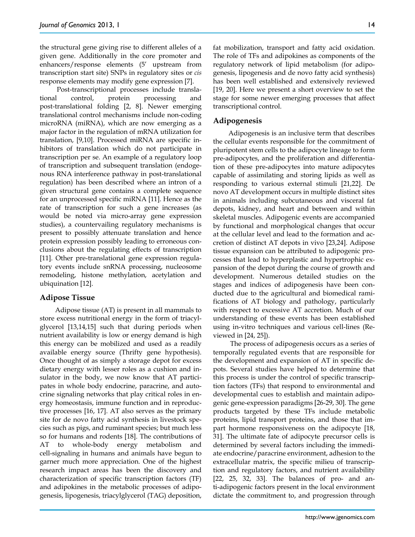the structural gene giving rise to different alleles of a given gene. Additionally in the core promoter and enhancers/response elements (5' upstream from transcription start site) SNPs in regulatory sites or *cis*  response elements may modify gene expression [7].

Post-transcriptional processes include translational control, protein processing and post-translational folding [2, 8]. Newer emerging translational control mechanisms include non-coding microRNA (miRNA), which are now emerging as a major factor in the regulation of mRNA utilization for translation, [9,10]. Processed miRNA are specific inhibitors of translation which do not participate in transcription per se. An example of a regulatory loop of transcription and subsequent translation (endogenous RNA interference pathway in post-translational regulation) has been described where an intron of a given structural gene contains a complete sequence for an unprocessed specific miRNA [11]. Hence as the rate of transcription for such a gene increases (as would be noted via micro-array gene expression studies), a countervailing regulatory mechanisms is present to possibly attenuate translation and hence protein expression possibly leading to erroneous conclusions about the regulating effects of transcription [11]. Other pre-translational gene expression regulatory events include snRNA processing, nucleosome remodeling, histone methylation, acetylation and ubiquination [12].

## **Adipose Tissue**

Adipose tissue (AT) is present in all mammals to store excess nutritional energy in the form of triacylglycerol [13,14,15] such that during periods when nutrient availability is low or energy demand is high this energy can be mobilized and used as a readily available energy source (Thrifty gene hypothesis). Once thought of as simply a storage depot for excess dietary energy with lesser roles as a cushion and insulator in the body, we now know that AT participates in whole body endocrine, paracrine, and autocrine signaling networks that play critical roles in energy homeostasis, immune function and in reproductive processes [16, 17]. AT also serves as the primary site for de novo fatty acid synthesis in livestock species such as pigs, and ruminant species; but much less so for humans and rodents [18]. The contributions of AT to whole-body energy metabolism and cell-signaling in humans and animals have begun to garner much more appreciation. One of the highest research impact areas has been the discovery and characterization of specific transcription factors (TF) and adipokines in the metabolic processes of adipogenesis, lipogenesis, triacylglycerol (TAG) deposition,

fat mobilization, transport and fatty acid oxidation. The role of TFs and adipokines as components of the regulatory network of lipid metabolism (for adipogenesis, lipogenesis and de novo fatty acid synthesis) has been well established and extensively reviewed [19, 20]. Here we present a short overview to set the stage for some newer emerging processes that affect transcriptional control.

#### **Adipogenesis**

Adipogenesis is an inclusive term that describes the cellular events responsible for the commitment of pluripotent stem cells to the adipocyte lineage to form pre-adipocytes, and the proliferation and differentiation of these pre-adipocytes into mature adipocytes capable of assimilating and storing lipids as well as responding to various external stimuli [21,22]. De novo AT development occurs in multiple distinct sites in animals including subcutaneous and visceral fat depots, kidney, and heart and between and within skeletal muscles. Adipogenic events are accompanied by functional and morphological changes that occur at the cellular level and lead to the formation and accretion of distinct AT depots in vivo [23,24]. Adipose tissue expansion can be attributed to adipogenic processes that lead to hyperplastic and hypertrophic expansion of the depot during the course of growth and development. Numerous detailed studies on the stages and indices of adipogenesis have been conducted due to the agricultural and biomedical ramifications of AT biology and pathology, particularly with respect to excessive AT accretion. Much of our understanding of these events has been established using in-vitro techniques and various cell-lines (Reviewed in [24, 25]).

The process of adipogenesis occurs as a series of temporally regulated events that are responsible for the development and expansion of AT in specific depots. Several studies have helped to determine that this process is under the control of specific transcription factors (TFs) that respond to environmental and developmental cues to establish and maintain adipogenic gene-expression paradigms [26-29, 30]. The gene products targeted by these TFs include metabolic proteins, lipid transport proteins, and those that impart hormone responsiveness on the adipocyte [18, 31]. The ultimate fate of adipocyte precursor cells is determined by several factors including the immediate endocrine/paracrine environment, adhesion to the extracellular matrix, the specific milieu of transcription and regulatory factors, and nutrient availability [22, 25, 32, 33]. The balances of pro- and anti-adipogenic factors present in the local environment dictate the commitment to, and progression through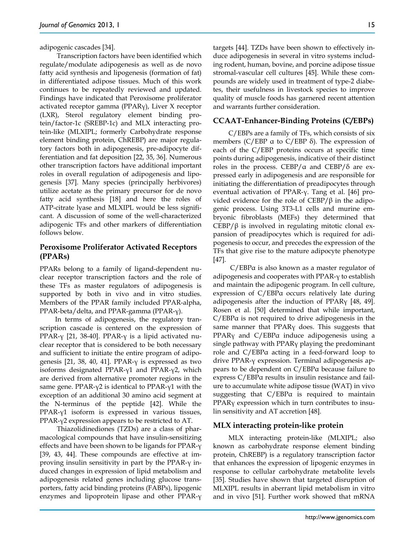adipogenic cascades [34].

Transcription factors have been identified which regulate/modulate adipogenesis as well as de novo fatty acid synthesis and lipogenesis (formation of fat) in differentiated adipose tissues. Much of this work continues to be repeatedly reviewed and updated. Findings have indicated that Peroxisome proliferator activated receptor gamma (PPARγ), Liver X receptor (LXR), Sterol regulatory element binding protein/factor-1c (SREBP-1c) and MLX interacting protein-like (MLXIPL; formerly Carbohydrate response element binding protein, ChREBP) are major regulatory factors both in adipogenesis, pre-adipocyte differentiation and fat deposition [22, 35, 36]. Numerous other transcription factors have additional important roles in overall regulation of adipogenesis and lipogenesis [37]. Many species (principally herbivores) utilize acetate as the primary precursor for de novo fatty acid synthesis [18] and here the roles of ATP-citrate lyase and MLXIPL would be less significant. A discussion of some of the well-characterized adipogenic TFs and other markers of differentiation follows below.

## **Peroxisome Proliferator Activated Receptors (PPARs)**

PPARs belong to a family of ligand-dependent nuclear receptor transcription factors and the role of these TFs as master regulators of adipogenesis is supported by both in vivo and in vitro studies. Members of the PPAR family included PPAR-alpha, PPAR-beta/delta, and PPAR-gamma (PPAR-γ).

In terms of adipogenesis, the regulatory transcription cascade is centered on the expression of PPAR-γ [21, 38-40]. PPAR-γ is a lipid activated nuclear receptor that is considered to be both necessary and sufficient to initiate the entire program of adipogenesis [21, 38, 40, 41]. PPAR- $γ$  is expressed as two isoforms designated PPAR-γ1 and PPAR-γ2, which are derived from alternative promoter regions in the same gene. PPAR-γ2 is identical to PPAR-γ1 with the exception of an additional 30 amino acid segment at the N-terminus of the peptide [42]. While the PPAR-γ1 isoform is expressed in various tissues, PPAR-γ2 expression appears to be restricted to AT.

Thiazolidinediones (TZDs) are a class of pharmacological compounds that have insulin-sensitizing effects and have been shown to be ligands for PPAR-γ [39, 43, 44]. These compounds are effective at improving insulin sensitivity in part by the PPAR-γ induced changes in expression of lipid metabolism and adipogenesis related genes including glucose transporters, fatty acid binding proteins (FABPs), lipogenic enzymes and lipoprotein lipase and other PPAR-γ targets [44]. TZDs have been shown to effectively induce adipogenesis in several in vitro systems including rodent, human, bovine, and porcine adipose tissue stromal-vascular cell cultures [45]. While these compounds are widely used in treatment of type-2 diabetes, their usefulness in livestock species to improve quality of muscle foods has garnered recent attention and warrants further consideration.

#### **CCAAT-Enhancer-Binding Proteins (C/EBPs)**

C/EBPs are a family of TFs, which consists of six members ( $C/EBP$  a to  $C/EBP$  δ). The expression of each of the C/EBP proteins occurs at specific time points during adipogenesis, indicative of their distinct roles in the process. CEBP/ $\alpha$  and CEBP/ $\delta$  are expressed early in adipogenesis and are responsible for initiating the differentiation of preadipocytes through eventual activation of PPAR-γ. Tang et al. [46] provided evidence for the role of  $CEBP/\beta$  in the adipogenic process. Using 3T3-L1 cells and murine embryonic fibroblasts (MEFs) they determined that CEBP/ $β$  is involved in regulating mitotic clonal expansion of preadipocytes which is required for adipogenesis to occur, and precedes the expression of the TFs that give rise to the mature adipocyte phenotype [47].

C/EBPα is also known as a master regulator of adipogenesis and cooperates with PPAR-γ to establish and maintain the adipogenic program. In cell culture, expression of C/EBPα occurs relatively late during adipogenesis after the induction of PPARγ [48, 49]. Rosen et al. [50] determined that while important, C/EBPα is not required to drive adipogenesis in the same manner that PPARγ does. This suggests that PPARγ and C/EBPα induce adipogenesis using a single pathway with PPARγ playing the predominant role and C/EBPα acting in a feed-forward loop to drive PPAR-γ expression. Terminal adipogenesis appears to be dependent on C/EBPα because failure to express C/EBPα results in insulin resistance and failure to accumulate white adipose tissue (WAT) in vivo suggesting that C/EBPα is required to maintain PPARγ expression which in turn contributes to insulin sensitivity and AT accretion [48].

#### **MLX interacting protein-like protein**

MLX interacting protein-like (MLXIPL; also known as carbohydrate response element binding protein, ChREBP) is a regulatory transcription factor that enhances the expression of lipogenic enzymes in response to cellular carbohydrate metabolite levels [35]. Studies have shown that targeted disruption of MLXIPL results in aberrant lipid metabolism in vitro and in vivo [51]. Further work showed that mRNA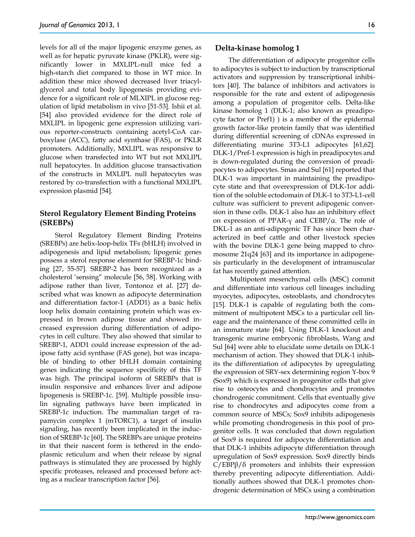levels for all of the major lipogenic enzyme genes, as well as for hepatic pyruvate kinase (PKLR), were significantly lower in MXLIPL-null mice fed a high-starch diet compared to those in WT mice. In addition these mice showed decreased liver triacylglycerol and total body lipogenesis providing evidence for a significant role of MLXIPL in glucose regulation of lipid metabolism in vivo [51-53]. Ishii et al. [54] also provided evidence for the direct role of MXLIPL in lipogenic gene expression utilizing various reporter-constructs containing acetyl-CoA carboxylase (ACC), fatty acid synthase (FAS), or PKLR promoters. Additionally, MXLIPL was responsive to glucose when transfected into WT but not MXLIPL null hepatocytes. In addition glucose transactivation of the constructs in MXLIPL null hepatocytes was restored by co-transfection with a functional MXLIPL expression plasmid [54].

## **Sterol Regulatory Element Binding Proteins (SREBPs)**

Sterol Regulatory Element Binding Proteins (SREBPs) are helix-loop-helix TFs (bHLH) involved in adipogenesis and lipid metabolism; lipogenic genes possess a sterol response element for SREBP-1c binding [27, 55-57]. SREBP-2 has been recognized as a cholesterol 'sensing" molecule [56, 58]. Working with adipose rather than liver, Tontonoz et al. [27] described what was known as adipocyte determination and differentiation factor-1 (ADD1) as a basic helix loop helix domain containing protein which was expressed in brown adipose tissue and showed increased expression during differentiation of adipocytes in cell culture. They also showed that similar to SREBP-1, ADD1 could increase expression of the adipose fatty acid synthase (FAS gene), but was incapable of binding to other bHLH domain containing genes indicating the sequence specificity of this TF was high. The principal isoform of SREBPs that is insulin responsive and enhances liver and adipose lipogenesis is SREBP-1c. [59]. Multiple possible insulin signaling pathways have been implicated in SREBP-1c induction. The mammalian target of rapamycin complex 1 (mTORC1), a target of insulin signaling, has recently been implicated in the induction of SREBP-1c [60]. The SREBPs are unique proteins in that their nascent form is tethered in the endoplasmic reticulum and when their release by signal pathways is stimulated they are processed by highly specific proteases, released and processed before acting as a nuclear transcription factor [56].

#### **Delta-kinase homolog 1**

The differentiation of adipocyte progenitor cells to adipocytes is subject to induction by transcriptional activators and suppression by transcriptional inhibitors [40]. The balance of inhibitors and activators is responsible for the rate and extent of adipogenesis among a population of progenitor cells. Delta-like kinase homolog 1 (DLK-1; also known as preadipocyte factor or Pref1) ) is a member of the epidermal growth factor-like protein family that was identified during differential screening of cDNAs expressed in differentiating murine 3T3-L1 adipocytes [61,62]. DLK-1/Pref-1 expression is high in preadipocytes and is down-regulated during the conversion of preadipocytes to adipocytes. Smas and Sul [61] reported that DLK-1 was important in maintaining the preadipocyte state and that overexpression of DLK-1or addition of the soluble ectodomain of DLK-1 to 3T3-L1-cell culture was sufficient to prevent adipogenic conversion in these cells. DLK-1 also has an inhibitory effect on expression of PPAR-γ and CEBP/α. The role of DKL-1 as an anti-adipogenic TF has since been characterized in beef cattle and other livestock species with the bovine DLK-1 gene being mapped to chromosome 21q24 [63] and its importance in adipogenesis particularly in the development of intramuscular fat has recently gained attention.

Multipotent mesenchymal cells (MSC) commit and differentiate into various cell lineages including myocytes, adipocytes, osteoblasts, and chondrocytes [15]. DLK-1 is capable of regulating both the commitment of multipotent MSCs to a particular cell lineage and the maintenance of these committed cells in an immature state [64]. Using DLK-1 knockout and transgenic murine embryonic fibroblasts, Wang and Sul [64] were able to elucidate some details on DLK-1 mechanism of action. They showed that DLK-1 inhibits the differentiation of adipocytes by upregulating the expression of SRY-sex determining region Y-box 9 (Sox9) which is expressed in progenitor cells that give rise to osteocytes and chondrocytes and promotes chondrogenic commitment. Cells that eventually give rise to chondrocytes and adipocytes come from a common source of MSCs; Sox9 inhibits adipogenesis while promoting chondrogenesis in this pool of progenitor cells. It was concluded that down regulation of Sox9 is required for adipocyte differentiation and that DLK-1 inhibits adipocyte differentiation through upregulation of Sox9 expression. Sox9 directly binds C/EBPβ/δ promoters and inhibits their expression thereby preventing adipocyte differentiation. Additionally authors showed that DLK-1 promotes chondrogenic determination of MSCs using a combination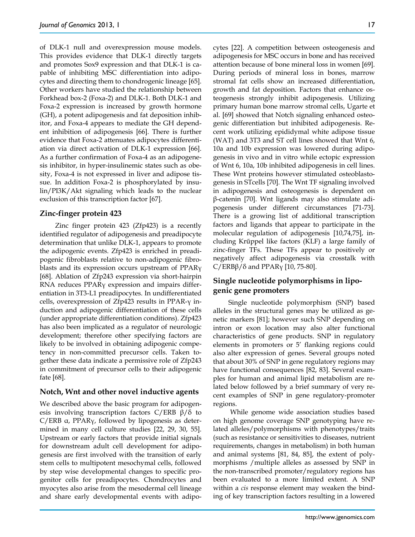of DLK-1 null and overexpression mouse models. This provides evidence that DLK-1 directly targets and promotes Sox9 expression and that DLK-1 is capable of inhibiting MSC differentiation into adipocytes and directing them to chondrogenic lineage [65]. Other workers have studied the relationship between Forkhead box-2 (Foxa-2) and DLK-1. Both DLK-1 and Foxa-2 expression is increased by growth hormone (GH), a potent adipogenesis and fat deposition inhibitor, and Foxa-4 appears to mediate the GH dependent inhibition of adipogenesis [66]. There is further evidence that Foxa-2 attenuates adipocytes differentiation via direct activation of DLK-1 expression [66]. As a further confirmation of Foxa-4 as an adipogenesis inhibitor, in hyper-insulinemic states such as obesity, Foxa-4 is not expressed in liver and adipose tissue. In addition Foxa-2 is phosphorylated by insulin/PI3K/Akt signaling which leads to the nuclear exclusion of this transcription factor [67].

### **Zinc-finger protein 423**

Zinc finger protein 423 (Zfp423) is a recently identified regulator of adipogenesis and preadipocyte determination that unlike DLK-1, appears to promote the adipogenic events. Zfp423 is enriched in preadipogenic fibroblasts relative to non-adipogenic fibroblasts and its expression occurs upstream of PPARγ [68]. Ablation of Zfp243 expression via short-hairpin RNA reduces PPARγ expression and impairs differentiation in 3T3-L1 preadipocytes. In undifferentiated cells, overexpression of Zfp423 results in PPAR-γ induction and adipogenic differentiation of these cells (under appropriate differentiation conditions). Zfp423 has also been implicated as a regulator of neurologic development; therefore other specifying factors are likely to be involved in obtaining adipogenic competency in non-committed precursor cells. Taken together these data indicate a permissive role of Zfp243 in commitment of precursor cells to their adipogenic fate [68].

#### **Notch, Wnt and other novel inductive agents**

We described above the basic program for adipogenesis involving transcription factors  $C/ERB \beta/\delta$  to C/ERB α, PPARγ, followed by lipogenesis as determined in many cell culture studies [22, 29, 30, 55]. Upstream or early factors that provide initial signals for downstream adult cell development for adipogenesis are first involved with the transition of early stem cells to multipotent mesochymal cells, followed by step wise developmental changes to specific progenitor cells for preadipocytes. Chondrocytes and myocytes also arise from the mesodermal cell lineage and share early developmental events with adipocytes [22]. A competition between osteogenesis and adipogenesis for MSC occurs in bone and has received attention because of bone mineral loss in women [69]. During periods of mineral loss in bones, marrow stromal fat cells show an increased differentiation, growth and fat deposition. Factors that enhance osteogenesis strongly inhibit adipogenesis. Utilizing primary human bone marrow stromal cells, Ugarte et al. [69] showed that Notch signaling enhanced osteogenic differentiation but inhibited adipogenesis. Recent work utilizing epididymal white adipose tissue (WAT) and 3T3 and ST cell lines showed that Wnt 6, 10a and 10b expression was lowered during adipogenesis in vivo and in vitro while ectopic expression of Wnt 6, 10a, 10b inhibited adipogenesis in cell lines. These Wnt proteins however stimulated osteoblastogenesis in STcells [70]. The Wnt TF signaling involved in adipogenesis and osteogenesis is dependent on β-catenin [70]. Wnt ligands may also stimulate adipogenesis under different circumstances [71-73]. There is a growing list of additional transcription factors and ligands that appear to participate in the molecular regulation of adipogenesis [10,74,75], including Krűppel like factors (KLF) a large family of zinc-finger TFs. These TFs appear to positively or negatively affect adipogenesis via crosstalk with C/ERBβ/δ and PPAR<sub>Y</sub> [10, 75-80].

# **Single nucleotide polymorphisms in lipogenic gene promoters**

Single nucleotide polymorphism (SNP) based alleles in the structural genes may be utilized as genetic markers [81]; however such SNP depending on intron or exon location may also alter functional characteristics of gene products. SNP in regulatory elements in promoters or 5' flanking regions could also alter expression of genes. Several groups noted that about 30% of SNP in gene regulatory regions may have functional consequences [82, 83]. Several examples for human and animal lipid metabolism are related below followed by a brief summary of very recent examples of SNP in gene regulatory-promoter regions.

While genome wide association studies based on high genome coverage SNP genotyping have related alleles/polymorphisms with phenotypes/traits (such as resistance or sensitivities to diseases, nutrient requirements, changes in metabolism) in both human and animal systems [81, 84, 85], the extent of polymorphisms /multiple alleles as assessed by SNP in the non-transcribed promoter/regulatory regions has been evaluated to a more limited extent. A SNP within a *cis* response element may weaken the binding of key transcription factors resulting in a lowered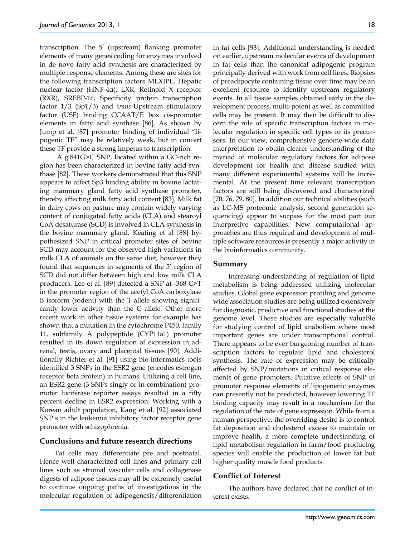transcription. The 5' (upstream) flanking promoter elements of many genes coding for enzymes involved in de novo fatty acid synthesis are characterized by multiple response elements. Among these are sites for the following transcription factors MLXIPL, Hepatic nuclear factor (HNF-4α), LXR, Retinoid X receptor (RXR), SREBP-1c, Specificity protein transcription factor 1/3 (Sp1/3) and t*rans*-Upstream stimulatory factor (USF) binding CCAAT/E box *cis*-promoter elements in fatty acid synthase [86]. As shown by Jump et al. [87] promoter binding of individual "lipogenic TF" may be relatively weak, but in concert these TF provide a strong impetus to transcription.

A g.841G>C SNP, located within a GC-rich region has been characterized in bovine fatty acid synthase [82]. These workers demonstrated that this SNP appears to affect Sp3 binding ability in bovine lactating mammary gland fatty acid synthase promoter, thereby affecting milk fatty acid content [83]. Milk fat in dairy cows on pasture may contain widely varying content of conjugated fatty acids (CLA) and stearoyl CoA desaturase (SCD) is involved in CLA synthesis in the bovine mammary gland. Keating et al [88] hypothesized SNP in critical promoter sites of bovine SCD may account for the observed high variations in milk CLA of animals on the same diet, however they found that sequences in segments of the 5' region of SCD did not differ between high and low milk CLA producers. Lee et al. [89] detected a SNP at -368 C>T in the promoter region of the acetyl CoA carboxylase B isoform (rodent) with the T allele showing significantly lower activity than the C allele. Other more recent work in other tissue systems for example has shown that a mutation in the cytochrome P450, family 11, subfamily A polypeptide (CYP11a1) promoter resulted in its down regulation of expression in adrenal, testis, ovary and placental tissues [90]. Additionally Richter et al. [91] using bio-informatics tools identified 3 SNPs in the ESR2 gene (encodes estrogen receptor beta protein) in humans. Utilizing a cell line, an ESR2 gene (3 SNPs singly or in combination) promoter luciferase reporter assays resulted in a fifty percent decline in ESR2 expression. Working with a Korean adult population, Kang et al. [92] associated SNP s in the leukemia inhibitory factor receptor gene promoter with schizophrenia.

#### **Conclusions and future research directions**

Fat cells may differentiate pre and postnatal. Hence well characterized cell lines and primary cell lines such as stromal vascular cells and collagenase digests of adipose tissues may all be extremely useful to continue ongoing paths of investigations in the molecular regulation of adipogenesis/differentiation in fat cells [93]. Additional understanding is needed on earlier, upstream molecular events of development in fat cells than the canonical adipogenic program principally derived with work from cell lines. Biopsies of preadipocyte containing tissue over time may be an excellent resource to identify upstream regulatory events. In all tissue samples obtained early in the development process, multi-potent as well as committed cells may be present. It may then be difficult to discern the role of specific transcription factors in molecular regulation in specific cell types or its precursors. In our view, comprehensive genome-wide data interpretation to obtain clearer understanding of the myriad of molecular regulatory factors for adipose development for health and disease studied with many different experimental systems will be incremental. At the present time relevant transcription factors are still being discovered and characterized [70, 76, 79, 80]. In addition our technical abilities (such as LC-MS proteomic analysis, second generation sequencing) appear to surpass for the most part our interpretive capabilities. New computational approaches are thus required and development of multiple software resources is presently a major activity in the bioinformatics community.

#### **Summary**

Increasing understanding of regulation of lipid metabolism is being addressed utilizing molecular studies. Global gene expression profiling and genome wide association studies are being utilized extensively for diagnostic, predictive and functional studies at the genome level. These studies are especially valuable for studying control of lipid anabolism where most important genes are under transcriptional control. There appears to be ever burgeoning number of transcription factors to regulate lipid and cholesterol synthesis. The rate of expression may be critically affected by SNP/mutations in critical response elements of gene promoters. Putative effects of SNP in promoter response elements of lipogenenic enzymes can presently not be predicted, however lowering TF binding capacity may result in a mechanism for the regulation of the rate of gene expression. While from a human perspective, the overriding desire is to control fat deposition and cholesterol excess to maintain or improve health, a more complete understanding of lipid metabolism regulation in farm/food producing species will enable the production of lower fat but higher quality muscle food products.

#### **Conflict of Interest**

The authors have declared that no conflict of interest exists.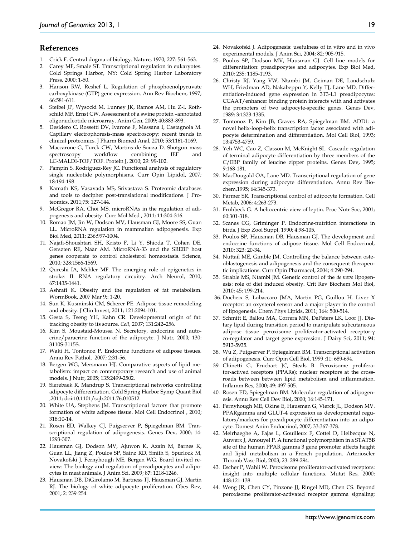#### **References**

- 1. Crick F. Central dogma of biology. Nature, 1970; 227: 561-563.
- 2. Carey MF, Smale ST. Transcriptional regulation in eukaryotes. Cold Springs Harbor, NY: Cold Spring Harbor Laboratory Press. 2000: 1-50.
- 3. Hanson RW, Reshef L. Regulation of phosphoenolpyruvate carboxykinase (GTP) gene expression. Ann Rev Biochem, 1997; 66:581-611.
- 4. Steibel JP, Wysocki M, Lunney JK, Ramos AM, Hu Z-l, Rothschild MF, Ernst CW. Assessment of a swine protein –annotated oligonucleotide microarray. Anim Gen, 2009; 40:883-893.
- 5. Desidero C, Rossetti DV, Ivarone F, Messana I, Castagnola M. Capillary electrophoresis-mass spectroscopy: recent trends in clinical proteomics. J Pharm Biomed Anal, 2010; 53:1161-1169.
- 6. Maccarone G, Turck CW, Martins-de Souza D. Shotgun mass spectroscopy workflow combining IEF and LC-MALDI-TOF/TOF. Protein J, 2010; 29: 99-102.
- 7. Pampin S, Rodriguez-Rey JC. Functional analysis of regulatory single nucleotide polymorphisms. Curr Opin Lipidol, 2007; 18:194-198.
- 8. Kamath KS, Vasavada MS, Srivastava S. Proteomic databases and tools to decipher post-translational modifications. J Proteomics, 2011;75: 127-144.
- 9. McGregor RA, Choi MS. microRNAs in the regulation of adipogenesis and obesity. Curr Mol Med , 2011; 11:304-316.
- 10. Romao JM, Jin W, Dodson MV, Hausman GJ, Moore SS, Guan LL. MicroRNA regulation in mammalian adipogenesis. Exp Biol Med, 2011; 236:997-1004.
- 11. Najafi-Shoushtari SH, Kristo F, Li Y, Shioda T, Cohen DE, Gerszten RE, Näär AM. MicroRNA-33 and the SREBP host genes cooperate to control cholesterol homeostasis. Science, 2010; 328:1566-1569.
- 12. Qureshi IA, Mehler MF. The emerging role of epigenetics in stroke: II. RNA regulatory circuitry. Arch Neurol, 2010; 67:1435-1441.
- 13. Ashrafi K. Obesity and the regulation of fat metabolism. WormBook, 2007 Mar 9;: 1-20.
- 14. Sun K, Kusminski CM, Scherer PE. Adipose tissue remodeling and obesity. J Clin Invest, 2011; 121:2094-101.
- 15. Gesta S, Tseng YH, Kahn CR. Developmental origin of fat: tracking obesity to its source. *Cell,* 2007; 131:242–256.
- 16. Kim S, Moustaid-Moussa N. Secretory, endocrine and autocrine/paracrine function of the adipocyte. J Nutr, 2000; 130: 3110S-3115S.
- 17. Waki H, Tontonoz P. Endocrine functions of adipose tissues. Annu Rev Pathol, 2007; 2:31-56.
- 18. Bergen WG, Mersmann HJ. Comparative aspects of lipid metabolism: impact on contemporary research and use of animal models. J Nutr, 2005; 135:2499-2502.
- 19. Sierebaek R, Mandrup S. Transcriptional networks controlling adipocyte differentiation. Cold Spring Harbor Symp Quant Biol ,2011; doi:10.1101/sqb.2011.76.010512.
- 20. White UA, Stephens JM. Transcriptional factors that promote formation of white adipose tissue. Mol Cell Endocrinol , 2010; 318:10-14.
- 21. Rosen ED, Walkey CJ, Puigserver P, Spiegelman BM. Transcriptional regulation of adipogenesis. Genes Dev, 2000; 14: 1293-307.
- 22. Hausman GJ, Dodson MV, Ajuwon K, Azain M, Barnes K, Guan LL, Jiang Z, Poulos SP, Sainz RD, Smith S, Spurlock M, Novakofski J, Fernyhough ME, Bergen WG. Board invited review: The biology and regulation of preadipocytes and adipocytes in meat animals. J Anim Sci, 2009; 8**7**: 1218-1246.
- 23. Hausman DB, DiGirolamo M, Bartness TJ, Hausman GJ, Martin RJ. The biology of white adipocyte proliferation. Obes Rev, 2001; 2: 239-254.
- 24. Novakofski J. Adipogenesis: usefulness of in vitro and in vivo experimental models. J Anim Sci, 2004; 82: 905-915.
- 25. Poulos SP, Dodson MV, Hausman GJ. Cell line models for differentiation: preadipocytes and adipocytes. Exp Biol Med, 2010; 235: 1185-1193.
- 26. Christy RJ, Yang VW, Ntambi JM, Geiman DE, Landschulz WH, Friedman AD, Nakabeppu Y, Kelly TJ, Lane MD. Differentiation-induced gene expression in 3T3-L1 preadipocytes: CCAAT/enhancer binding protein interacts with and activates the promoters of two adipocyte-specific genes. Genes Dev, 1989; 3:1323-1335.
- 27. Tontonoz P, Kim JB, Graves RA, Spiegelman BM. ADD1: a novel helix-loop-helix transcription factor associated with adipocyte determination and differentiation. Mol Cell Biol, 1993; 13:4753-4759.
- 28. Yeh WC, Cao Z, Classon M, McKnight SL. Cascade regulation of terminal adipocyte differentiation by three members of the C/EBP family of leucine zipper proteins. Genes Dev, 1995; 9:168-181.
- 29. MacDougald OA, Lane MD. Transcriptional regulation of gene expression during adipocyte differentiation. Annu Rev Biochem,1995; 64:345-373.
- 30. Farmer SR. Transcriptional control of adipocyte formation. Cell Metab, 2006; 4:263-273.
- 31. Frühbeck G. A heliocentric view of leptin. Proc Nutr Soc, 2001; 60:301-318.
- 32. Scanes CG, Griminger P. Endocrine-nutrition interactions in birds. J Exp Zool Suppl, 1990; 4:98-105.
- 33. Poulos SP, Hausman DB, Hausman GJ. The development and endocrine functions of adipose tissue. Mol Cell Endocrinol, 2010; 323: 20-34.
- 34. Nuttail ME, Gimble JM. Controlling the balance between osteoblastogenesis and adipogenesis and the consequent therapeutic implications. Curr Opin Pharmacol, 2004; 4:290-294.
- 35. Strable MS, Ntambi JM. Genetic control of the *de novo* lipogenesis: role of diet induced obesity. Crit Rev Biochem Mol Biol, 2010; 45: 199-214.
- 36. Ducheix S, Lobaccaro JMA, Martin PG, Guillou H. Liver X receptor: an oxysterol sensor and a major player in the control of lipogenesis. Chem Phys Lipids, 2011; 164: 500-514.
- 37. Schmitt E, Ballou MA, Correra MN, DePeters LK, Loor JJ. Dietary lipid during transition period to manipulate subcutaneous adipose tissue peroxisome proliferator-activated receptor-γ co-regulator and target gene expression. J Dairy Sci, 2011; 94: 5913-5935.
- 38. Wu Z, Puigserver P, Spiegelman BM. Transcriptional activation of adipogenesis. Curr Opin Cell Biol, 1999 ;11: 689-694.
- 39. Chinetti G, Fruchart JC, Steals B. Peroxisome proliferator-actived receptors (PPARs); nuclear receptors at the crossroads between between lipid metabolism and inflammation. Inflamm Res, 2000; 49: 497-505.
- 40. Rosen ED, Spiegelman BM. Molecular regulation of adipogenesis. Annu Rev Cell Dev Biol, 2000; 16:145-171.
- 41. Fernyhough ME, Okine E, Hausman G, Vierck JL, Dodson MV. PPARgamma and GLUT-4 expression as developmental regulators/markers for preadipocyte differentiation into an adipocyte. Domest Anim Endocrinol, 2007; 33:367-378.
- 42. Meirhaeghe A, Fajas L, Gouilleux F, Cottel D, Helbecque N, Auwerx J, Amouyel P. A functional polymorphism in a STAT5B site of the human PPAR gamma 3 gene promoter affects height and lipid metabolism in a French population. Arterioscler Thromb Vasc Biol, 2003; 23: 289-294.
- 43. Escher P, Wahli W. Peroxisome proliferator-activated receptors: insight into multiple cellular functions. Mutat Res, 2000; 448:121-138.
- 44. Weng JR, Chen CY, Pinzone JJ, Ringel MD, Chen CS. Beyond peroxisome proliferator-activated receptor gamma signaling: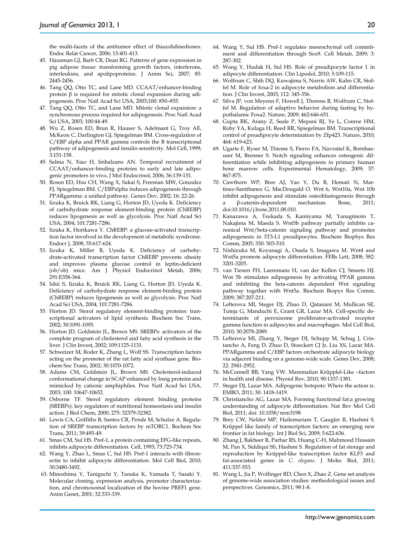the multi-facets of the antitumor effect of thiazolidinediones. Endoc Relat Cancer, 2006; 13:401-413.

- 45. Hausman GJ, Barb CR, Dean RG. Patterns of gene expression in pig adipose tissue: transforming growth factors, interferons, interleukins, and apolipoproteins. J Anim Sci, 2007; 85: 2445-2456.
- 46. Tang QQ, Otto TC, and Lane MD. CCAAT/enhancer-binding protein β is required for mitotic clonal expansion during adipogenesis. Proc Natl Acad Sci USA, 2003;100: 850–855.
- 47. Tang QQ, Otto TC, and Lane MD. Mitotic clonal expansion: a synchronous process required for adipogenesis. Proc Natl Acad Sci USA, 2003; 100:44-49.
- 48. Wu Z, Rosen ED, Brun R, Hauser S, Adelmant G, Troy AE, McKeon C, Darlington GJ, Spiegelman BM. Cross-regulation of C/EBP alpha and PPAR gamma controls the B transcriptional pathway of adipogenesis and insulin sensitivity. Mol Cell, 1999; 3:151-158.
- 49. Salma N, Xiao H, Imbalzano AN. Temporal recruitment of CCAAT/enhancer-binding proteins to early and late adipogenic promoters in vivo**.** J Mol Endocrinol, 2006; 36:139-151.
- 50. Rosen ED, Hsu CH, Wang X, Sakai S, Freeman MW, Gonzalez FJ, Spiegelman BM. C/EBPalpha induces adipogenesis through PPARgamma: a unified pathway. Genes Dev, 2002; 16: 22-26.
- 51. Iizuka K, Bruick RK, Liang G, Horton JD, Uyeda K. Deficiency of carbohydrate response element-binding protein (ChREBP) reduces lipogenesis as well as glycolysis. Proc Natl Acad Sci USA, 2004; 101:7281-7286.
- 52. Iizuka K, Horikawa Y. ChREBP: a glucose-activated transcription factor involved in the development of metabolic syndrome. Endocr J, 2008; 55:617-624.
- 53. Iizuka K, Miller B, Uyeda K. Deficiency of carbohydrate-activated transcription factor ChREBP prevents obesity and improves plasma glucose control in leptin-deficient (ob/ob) mice. Am J Physiol Endocrinol Metab, 2006; 291:E358-364.
- 54. Ishii S, Iizuka K, Bruick RK, Liang G, Horton JD, Uyeda K. Deficiency of carbohydrate response element-binding protein (ChREBP) reduces lipogenesis as well as glycolysis. Proc Natl Acad Sci USA, 2004; 101:7281-7286.
- 55. Horton JD. Sterol regulatory element-binding proteins: transcriptional activators of lipid synthesis. Biochem Soc Trans, 2002; 30:1091-1095.
- 56. Horton JD, Goldstein JL, Brown MS. SREBPs: activators of the complete program of cholesterol and fatty acid synthesis in the liver. J Clin Invest, 2002; 109:1125-1131.
- 57. Schweizer M, Roder K, Zhang L, Wolf SS. Transcription factors acting on the promoter of the rat fatty acid synthase gene. Biochem Soc Trans, 2002; 30:1070-1072.
- 58. Adams CM, Goldstein JL, Brown MS. Cholesterol-induced conformational change in SCAP enhanced by Insig proteins and mimicked by cationic amphiphiles. Proc Natl Acad Sci USA, 2003; 100: 10647-10652.
- 59. Osborne TF. Sterol regulatory element binding proteins (SREBPs): key regulators of nutritional homeostasis and insulin action. J Biol Chem, 2000; 275: 32379-32382.
- 60. Lewis CA, Griffiths B, Santos CR, Pende M, Schulze A. Regulation of SREBP transcription factors by mTORC1. Bochem Soc Trans, 2011; 39:495-49.
- 61. Smas CM, Sul HS. Pref-1, a protein containing EFG-like repeats, inhibits adipocyte differentiation. Cell, 1993; 73:725-734.
- 62. Wang Y, Zhao L, Smas C, Sul HS. Pref-1 interacts with fibronectin to inhibit adipocyte differentiation. Mol Cell Biol, 2010; 30:3480-3492.
- 63. Minoshima Y, Taniguchi Y, Tanaka K, Yamada T, Sasaki Y. Molecular cloning, expression analysis, promoter characterization, and chromosomal localization of the bovine PREF1 gene. Anim Genet, 2001; 32:333-339.
- 64. Wang Y, Sul HS. Pref-1 regulates mesenchymal cell commitment and differentiation through Sox9. Cell Metab, 2009; 3: 287-302.
- 65. Wang Y, Hudak H, Sul HS. Role of preadipocyte factor 1 in adipocyte differentiation. Clin Lipodol, 2010; 5:109-115.
- 66. Wolfrum C, Shih DQ, Kuwajima S, Norris AW, Kahn CR, Stoffel M. Role of foxa-2 in adipocyte metabolism and differentiation. J Clin Invest, 2003; 112: 345-356.
- 67. Silva JP, von Meyenn F, Howell J, Thorens B, Wolfrum C, Stoffel M. Regulation of adaptive behavior during fasting by hypothalamic Foxa2. Nature, 2009; 462:646-651.
- 68. Gupta RK, Arany Z, Seale P, Mepani RJ, Ye L, Conroe HM, Roby YA, Kulaga H, Reed RR, Spiegelman BM. Transcriptional control of preadipocyte determination by Zfp423. Nature, 2010; 464: 619-623.
- 69. Ugarte F, Ryser M, Thieme S, Fierro FA, Navratiel K, Bornhaeuser M, Brenner S. Notch signaling enhances osteogenic differentiation while inhibiting adipogenesis in primary human bone marrow cells. Experimental Hematology, 2009; 37: 867-875.
- 70. Cawthorn WP, Bree AJ, Yao Y, Du B, Hemati N, Martinez-Santibanez G, MacDougald O. Wnt 6, Wnt10a, Wnt 10b inhibit adipogenesis and stimulate osteoblastogenesis through a β-catenin-dependent mechanism. Bone, 2011; doi:10.1016/j.bone.2011.08.010.
- 71. Kanazawa A, Tsukada S, Kamiyama M, Yanagimoto T, Nakajima M, Maeda S. Wnt5b pathway partially inhibits canonical Wnt/beta-catenin signaling pathway and promotes adipogenesis in 3T3-L1 preadipocytes. Biochem Biophys Res Comm, 2005; 330: 503-510.
- 72. Nishizuka M, Koyanagi A, Osada S, Imagawa M. Wnt4 and Wnt5a promote adipocyte differentiation. FEBs Lett, 2008; 582: 3201-3205.
- 73. van Tienen FH, Laeremans H, van der Kellen CJ, Smeets HJ. Wnt 5b stimulates adipogenesis by activating PPAR gamma and inhibiting the beta-catenin dependent Wnt signaling pathway together with Wnt5a. Biochem Biopys Res Comm, 2009; 387:207-211.
- 74. Lefterova MI, Steger DJ, Zhuo D, Qatanani M, Mullican SE, Tuteja G, Manduchi E, Grant GR, Lazar MA. Cell-specific determinants of peroxisome proliferator-activated receptor gamma function in adipocytes and macrophages. Mol Cell Biol, 2010; 30:2078-2089.
- 75. Lefterova MI, Zhang Y, Steger DJ, Schupp M, Schug J, Cristancho A, Feng D, Zhuo D, Stoeckert CJ Jr, Liu XS, Lazar MA. PPARgamma and C/EBP factors orchestrate adipocyte biology via adjacent binding on a genome-wide scale. Genes Dev, 2008; 22: 2941-2952.
- 76. McConnell BB, Yang VW. Mammalian Krűpplel-Like –factors in health and disease. Physiol Rev, 2010; 90:1337-1381.
- 77. Steger DJ, Lazar MA. Adipogenic hotspots: Where the action is. EMBO, 2011; 30: 1418-1419.
- 78. Christiancho AG, Lazar MA. Forming functional fat:a growing understanding of adipocyte differentiation. Nat Rev Mol Cell Biol, 2011; doi: 10.1038/nrm3198
- 79. Brey CW, Nelder MP, Hailemariam T, Gaugler R, Hashmi S. Krűppel like family of transcription factors: an emerging new frontier in fat biology. Int J Biol Sci, 2009; 5:622-636.
- 80. Zhang J, Bakheer R, Parhar RS, Huang C-H, Mahmood Hussain M, Pan X, Siddiqui SS, Hashmi S. Regulation of fat storage and reproduction by Krűppel-like transcription factor KLF3 and fat-associated genes in *C. elegans*. J Molec Biol, 2011; 411:537-553.
- 81. Wang L, Jia P, Wolfinger RD, Chen X, Zhao Z. Gene set analysis of genome-wide association studies: methodological issues and perspectives. Genomics, 2011; 98:1-8.